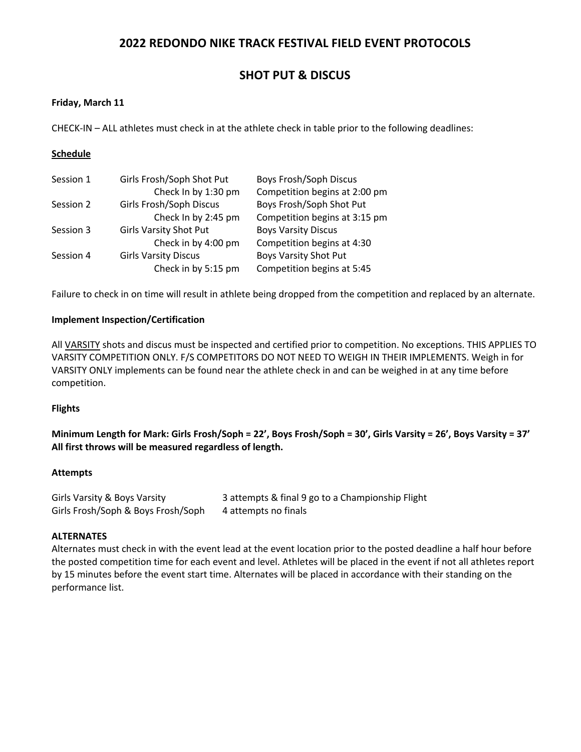# **SHOT PUT & DISCUS**

### **Friday, March 11**

CHECK-IN – ALL athletes must check in at the athlete check in table prior to the following deadlines:

### **Schedule**

| Session 1 | Girls Frosh/Soph Shot Put     | <b>Boys Frosh/Soph Discus</b> |
|-----------|-------------------------------|-------------------------------|
|           | Check In by 1:30 pm           | Competition begins at 2:00 pm |
| Session 2 | Girls Frosh/Soph Discus       | Boys Frosh/Soph Shot Put      |
|           | Check In by 2:45 pm           | Competition begins at 3:15 pm |
| Session 3 | <b>Girls Varsity Shot Put</b> | <b>Boys Varsity Discus</b>    |
|           | Check in by 4:00 pm           | Competition begins at 4:30    |
| Session 4 | <b>Girls Varsity Discus</b>   | <b>Boys Varsity Shot Put</b>  |
|           | Check in by 5:15 pm           | Competition begins at 5:45    |

Failure to check in on time will result in athlete being dropped from the competition and replaced by an alternate.

### **Implement Inspection/Certification**

All VARSITY shots and discus must be inspected and certified prior to competition. No exceptions. THIS APPLIES TO VARSITY COMPETITION ONLY. F/S COMPETITORS DO NOT NEED TO WEIGH IN THEIR IMPLEMENTS. Weigh in for VARSITY ONLY implements can be found near the athlete check in and can be weighed in at any time before competition.

### **Flights**

**Minimum Length for Mark: Girls Frosh/Soph = 22', Boys Frosh/Soph = 30', Girls Varsity = 26', Boys Varsity = 37' All first throws will be measured regardless of length.**

### **Attempts**

| Girls Varsity & Boys Varsity       | 3 attempts & final 9 go to a Championship Flight |
|------------------------------------|--------------------------------------------------|
| Girls Frosh/Soph & Boys Frosh/Soph | 4 attempts no finals                             |

### **ALTERNATES**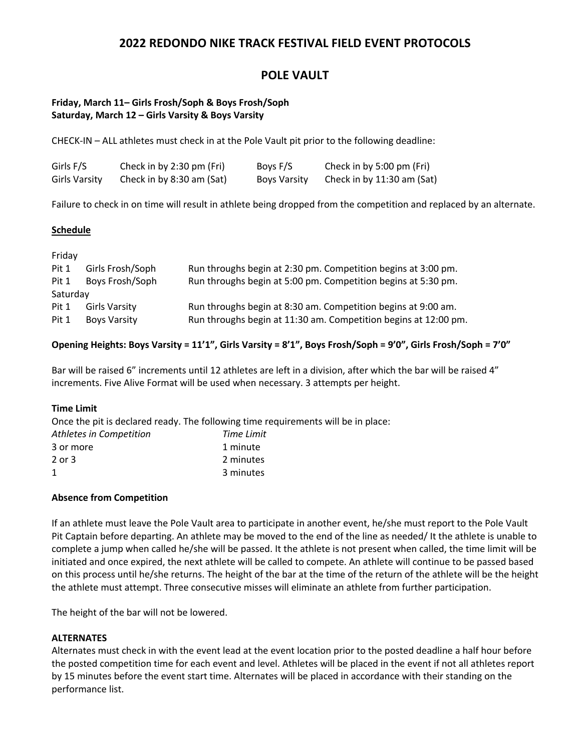# **POLE VAULT**

### **Friday, March 11– Girls Frosh/Soph & Boys Frosh/Soph Saturday, March 12 – Girls Varsity & Boys Varsity**

CHECK-IN – ALL athletes must check in at the Pole Vault pit prior to the following deadline:

| Girls F/S     | Check in by 2:30 pm (Fri) | Boys F/S     | Check in by 5:00 pm (Fri)  |
|---------------|---------------------------|--------------|----------------------------|
| Girls Varsity | Check in by 8:30 am (Sat) | Boys Varsity | Check in by 11:30 am (Sat) |

Failure to check in on time will result in athlete being dropped from the competition and replaced by an alternate.

### **Schedule**

| Friday   |                     |                                                                 |
|----------|---------------------|-----------------------------------------------------------------|
| Pit 1    | Girls Frosh/Soph    | Run throughs begin at 2:30 pm. Competition begins at 3:00 pm.   |
| Pit 1    | Boys Frosh/Soph     | Run throughs begin at 5:00 pm. Competition begins at 5:30 pm.   |
| Saturday |                     |                                                                 |
| Pit 1    | Girls Varsity       | Run throughs begin at 8:30 am. Competition begins at 9:00 am.   |
| Pit 1    | <b>Boys Varsity</b> | Run throughs begin at 11:30 am. Competition begins at 12:00 pm. |

### **Opening Heights: Boys Varsity = 11'1", Girls Varsity = 8'1", Boys Frosh/Soph = 9'0", Girls Frosh/Soph = 7'0"**

Bar will be raised 6" increments until 12 athletes are left in a division, after which the bar will be raised 4" increments. Five Alive Format will be used when necessary. 3 attempts per height.

### **Time Limit**

Once the pit is declared ready. The following time requirements will be in place: *Athletes in Competition Time Limit*

| Time Limit |
|------------|
| 1 minute   |
| 2 minutes  |
| 3 minutes  |
|            |

### **Absence from Competition**

If an athlete must leave the Pole Vault area to participate in another event, he/she must report to the Pole Vault Pit Captain before departing. An athlete may be moved to the end of the line as needed/ It the athlete is unable to complete a jump when called he/she will be passed. It the athlete is not present when called, the time limit will be initiated and once expired, the next athlete will be called to compete. An athlete will continue to be passed based on this process until he/she returns. The height of the bar at the time of the return of the athlete will be the height the athlete must attempt. Three consecutive misses will eliminate an athlete from further participation.

The height of the bar will not be lowered.

### **ALTERNATES**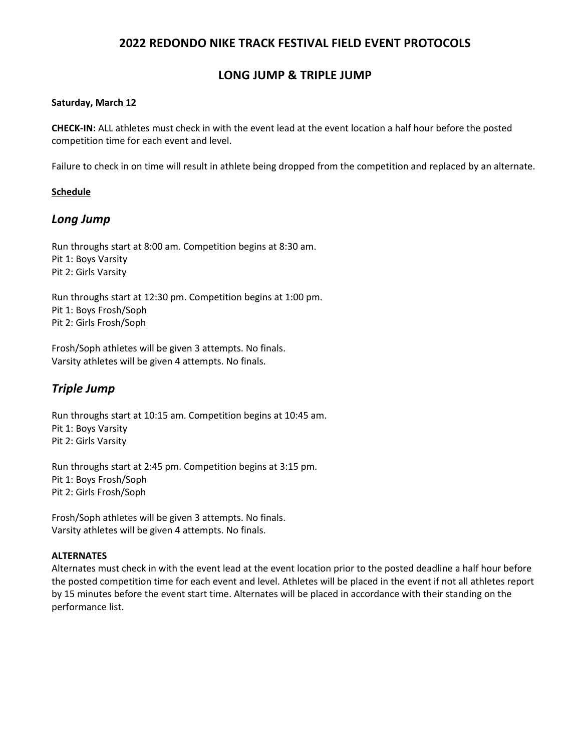## **LONG JUMP & TRIPLE JUMP**

### **Saturday, March 12**

**CHECK-IN:** ALL athletes must check in with the event lead at the event location a half hour before the posted competition time for each event and level.

Failure to check in on time will result in athlete being dropped from the competition and replaced by an alternate.

### **Schedule**

## *Long Jump*

Run throughs start at 8:00 am. Competition begins at 8:30 am. Pit 1: Boys Varsity Pit 2: Girls Varsity

Run throughs start at 12:30 pm. Competition begins at 1:00 pm. Pit 1: Boys Frosh/Soph Pit 2: Girls Frosh/Soph

Frosh/Soph athletes will be given 3 attempts. No finals. Varsity athletes will be given 4 attempts. No finals.

# *Triple Jump*

Run throughs start at 10:15 am. Competition begins at 10:45 am. Pit 1: Boys Varsity Pit 2: Girls Varsity

Run throughs start at 2:45 pm. Competition begins at 3:15 pm. Pit 1: Boys Frosh/Soph Pit 2: Girls Frosh/Soph

Frosh/Soph athletes will be given 3 attempts. No finals. Varsity athletes will be given 4 attempts. No finals.

### **ALTERNATES**